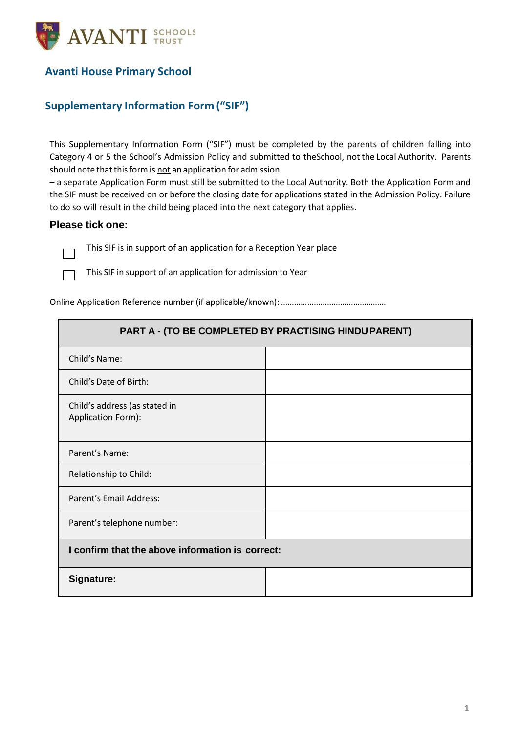

## **Avanti House Primary School**

## **Supplementary Information Form ("SIF")**

This Supplementary Information Form ("SIF") must be completed by the parents of children falling into Category 4 or 5 the School's Admission Policy and submitted to theSchool, not the Local Authority. Parents should note that this form is not an application for admission

– a separate Application Form must still be submitted to the Local Authority. Both the Application Form and the SIF must be received on or before the closing date for applications stated in the Admission Policy. Failure to do so will result in the child being placed into the next category that applies.

## **Please tick one:**

 $\Box$ 

 $\Box$ 

This SIF is in support of an application for a Reception Year place

This SIF in support of an application for admission to Year

Online Application Reference number (if applicable/known):…………………………………………

| PART A - (TO BE COMPLETED BY PRACTISING HINDU PARENT) |  |  |
|-------------------------------------------------------|--|--|
| Child's Name:                                         |  |  |
| Child's Date of Birth:                                |  |  |
| Child's address (as stated in<br>Application Form):   |  |  |
| Parent's Name:                                        |  |  |
| Relationship to Child:                                |  |  |
| Parent's Email Address:                               |  |  |
| Parent's telephone number:                            |  |  |
| I confirm that the above information is correct:      |  |  |
| Signature:                                            |  |  |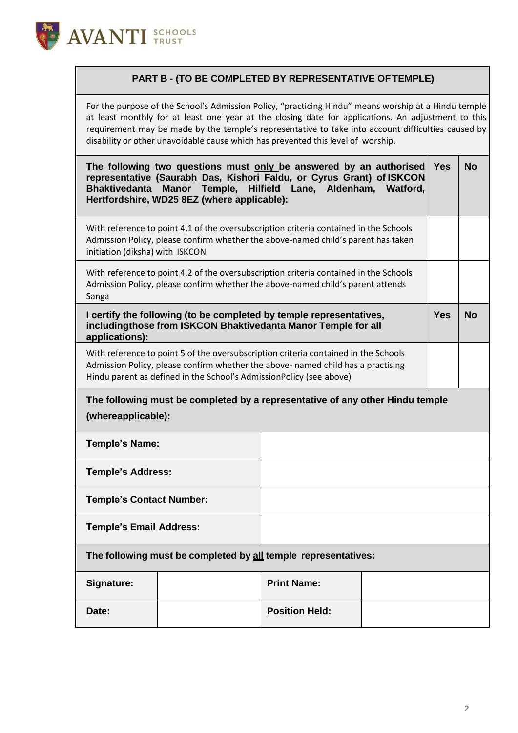

## **PART B - (TO BE COMPLETED BY REPRESENTATIVE OFTEMPLE)**

For the purpose of the School's Admission Policy, "practicing Hindu" means worship at a Hindu temple at least monthly for at least one year at the closing date for applications. An adjustment to this requirement may be made by the temple's representative to take into account difficulties caused by disability or other unavoidable cause which has prevented this level of worship.

| The following two questions must only be answered by an authorised<br>representative (Saurabh Das, Kishori Faldu, or Cyrus Grant) of ISKCON<br><b>Bhaktivedanta</b><br><b>Manor</b><br>Temple,<br>Hilfield Lane, Aldenham, Watford,<br>Hertfordshire, WD25 8EZ (where applicable): |                                                                |                    | <b>Yes</b> | <b>No</b> |  |
|------------------------------------------------------------------------------------------------------------------------------------------------------------------------------------------------------------------------------------------------------------------------------------|----------------------------------------------------------------|--------------------|------------|-----------|--|
| With reference to point 4.1 of the oversubscription criteria contained in the Schools<br>Admission Policy, please confirm whether the above-named child's parent has taken<br>initiation (diksha) with ISKCON                                                                      |                                                                |                    |            |           |  |
| With reference to point 4.2 of the oversubscription criteria contained in the Schools<br>Admission Policy, please confirm whether the above-named child's parent attends<br>Sanga                                                                                                  |                                                                |                    |            |           |  |
| I certify the following (to be completed by temple representatives,<br>includingthose from ISKCON Bhaktivedanta Manor Temple for all<br>applications):                                                                                                                             |                                                                |                    | <b>Yes</b> | <b>No</b> |  |
| With reference to point 5 of the oversubscription criteria contained in the Schools<br>Admission Policy, please confirm whether the above- named child has a practising<br>Hindu parent as defined in the School's AdmissionPolicy (see above)                                     |                                                                |                    |            |           |  |
| The following must be completed by a representative of any other Hindu temple<br>(whereapplicable):                                                                                                                                                                                |                                                                |                    |            |           |  |
| <b>Temple's Name:</b>                                                                                                                                                                                                                                                              |                                                                |                    |            |           |  |
|                                                                                                                                                                                                                                                                                    |                                                                |                    |            |           |  |
| <b>Temple's Address:</b>                                                                                                                                                                                                                                                           |                                                                |                    |            |           |  |
| <b>Temple's Contact Number:</b>                                                                                                                                                                                                                                                    |                                                                |                    |            |           |  |
| <b>Temple's Email Address:</b>                                                                                                                                                                                                                                                     |                                                                |                    |            |           |  |
|                                                                                                                                                                                                                                                                                    | The following must be completed by all temple representatives: |                    |            |           |  |
| Signature:                                                                                                                                                                                                                                                                         |                                                                | <b>Print Name:</b> |            |           |  |